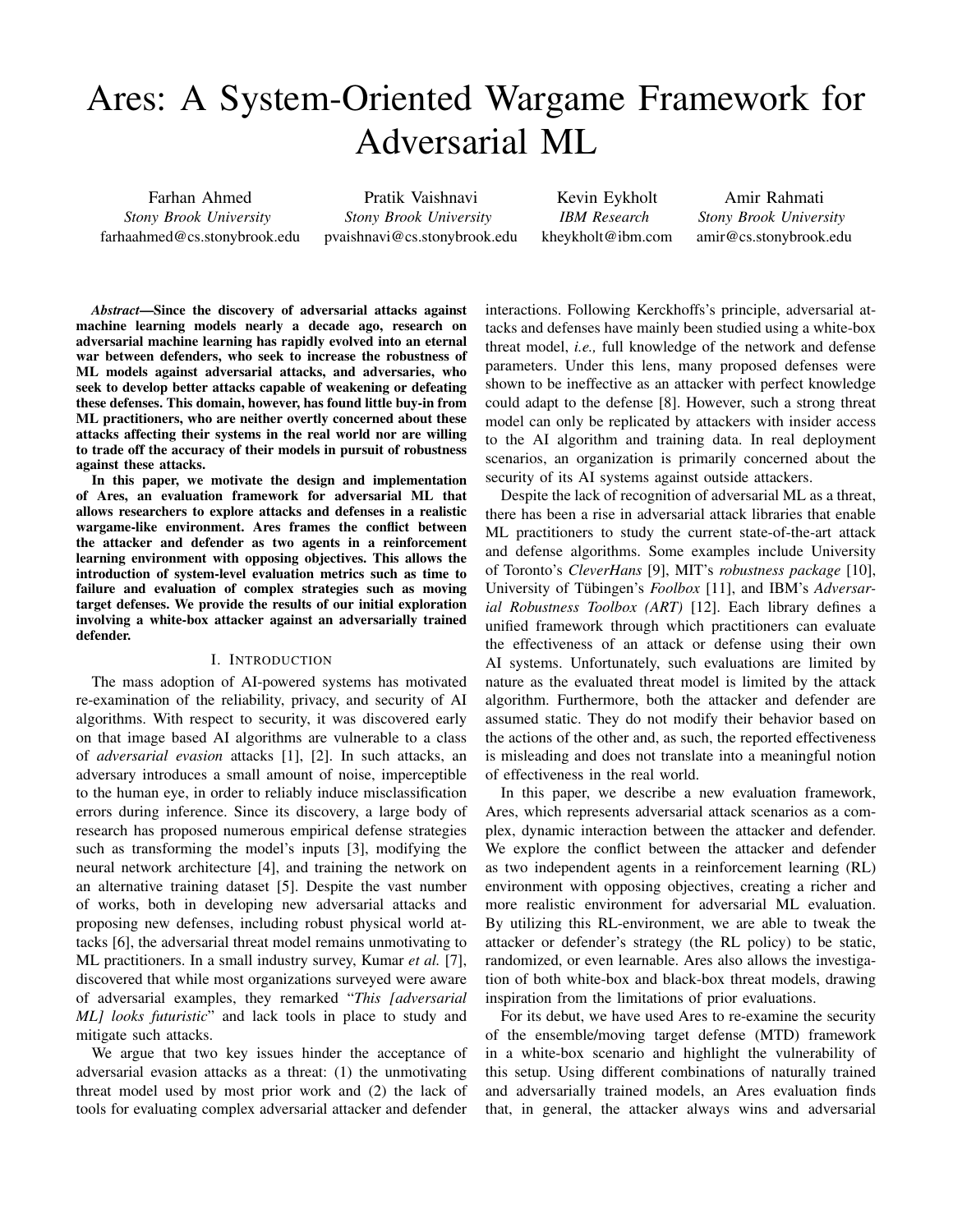# Ares: A System-Oriented Wargame Framework for Adversarial ML

Farhan Ahmed *Stony Brook University* farhaahmed@cs.stonybrook.edu

Pratik Vaishnavi *Stony Brook University* pvaishnavi@cs.stonybrook.edu

Kevin Eykholt *IBM Research* kheykholt@ibm.com

Amir Rahmati *Stony Brook University* amir@cs.stonybrook.edu

*Abstract*—Since the discovery of adversarial attacks against machine learning models nearly a decade ago, research on adversarial machine learning has rapidly evolved into an eternal war between defenders, who seek to increase the robustness of ML models against adversarial attacks, and adversaries, who seek to develop better attacks capable of weakening or defeating these defenses. This domain, however, has found little buy-in from ML practitioners, who are neither overtly concerned about these attacks affecting their systems in the real world nor are willing to trade off the accuracy of their models in pursuit of robustness against these attacks.

In this paper, we motivate the design and implementation of Ares, an evaluation framework for adversarial ML that allows researchers to explore attacks and defenses in a realistic wargame-like environment. Ares frames the conflict between the attacker and defender as two agents in a reinforcement learning environment with opposing objectives. This allows the introduction of system-level evaluation metrics such as time to failure and evaluation of complex strategies such as moving target defenses. We provide the results of our initial exploration involving a white-box attacker against an adversarially trained defender.

#### I. INTRODUCTION

The mass adoption of AI-powered systems has motivated re-examination of the reliability, privacy, and security of AI algorithms. With respect to security, it was discovered early on that image based AI algorithms are vulnerable to a class of *adversarial evasion* attacks [1], [2]. In such attacks, an adversary introduces a small amount of noise, imperceptible to the human eye, in order to reliably induce misclassification errors during inference. Since its discovery, a large body of research has proposed numerous empirical defense strategies such as transforming the model's inputs [3], modifying the neural network architecture [4], and training the network on an alternative training dataset [5]. Despite the vast number of works, both in developing new adversarial attacks and proposing new defenses, including robust physical world attacks [6], the adversarial threat model remains unmotivating to ML practitioners. In a small industry survey, Kumar *et al.* [7], discovered that while most organizations surveyed were aware of adversarial examples, they remarked "*This [adversarial ML] looks futuristic*" and lack tools in place to study and mitigate such attacks.

We argue that two key issues hinder the acceptance of adversarial evasion attacks as a threat: (1) the unmotivating threat model used by most prior work and (2) the lack of tools for evaluating complex adversarial attacker and defender

interactions. Following Kerckhoffs's principle, adversarial attacks and defenses have mainly been studied using a white-box threat model, *i.e.,* full knowledge of the network and defense parameters. Under this lens, many proposed defenses were shown to be ineffective as an attacker with perfect knowledge could adapt to the defense [8]. However, such a strong threat model can only be replicated by attackers with insider access to the AI algorithm and training data. In real deployment scenarios, an organization is primarily concerned about the security of its AI systems against outside attackers.

Despite the lack of recognition of adversarial ML as a threat, there has been a rise in adversarial attack libraries that enable ML practitioners to study the current state-of-the-art attack and defense algorithms. Some examples include University of Toronto's *CleverHans* [9], MIT's *robustness package* [10], University of Tübingen's *Foolbox* [11], and IBM's *Adversarial Robustness Toolbox (ART)* [12]. Each library defines a unified framework through which practitioners can evaluate the effectiveness of an attack or defense using their own AI systems. Unfortunately, such evaluations are limited by nature as the evaluated threat model is limited by the attack algorithm. Furthermore, both the attacker and defender are assumed static. They do not modify their behavior based on the actions of the other and, as such, the reported effectiveness is misleading and does not translate into a meaningful notion of effectiveness in the real world.

In this paper, we describe a new evaluation framework, Ares, which represents adversarial attack scenarios as a complex, dynamic interaction between the attacker and defender. We explore the conflict between the attacker and defender as two independent agents in a reinforcement learning (RL) environment with opposing objectives, creating a richer and more realistic environment for adversarial ML evaluation. By utilizing this RL-environment, we are able to tweak the attacker or defender's strategy (the RL policy) to be static, randomized, or even learnable. Ares also allows the investigation of both white-box and black-box threat models, drawing inspiration from the limitations of prior evaluations.

For its debut, we have used Ares to re-examine the security of the ensemble/moving target defense (MTD) framework in a white-box scenario and highlight the vulnerability of this setup. Using different combinations of naturally trained and adversarially trained models, an Ares evaluation finds that, in general, the attacker always wins and adversarial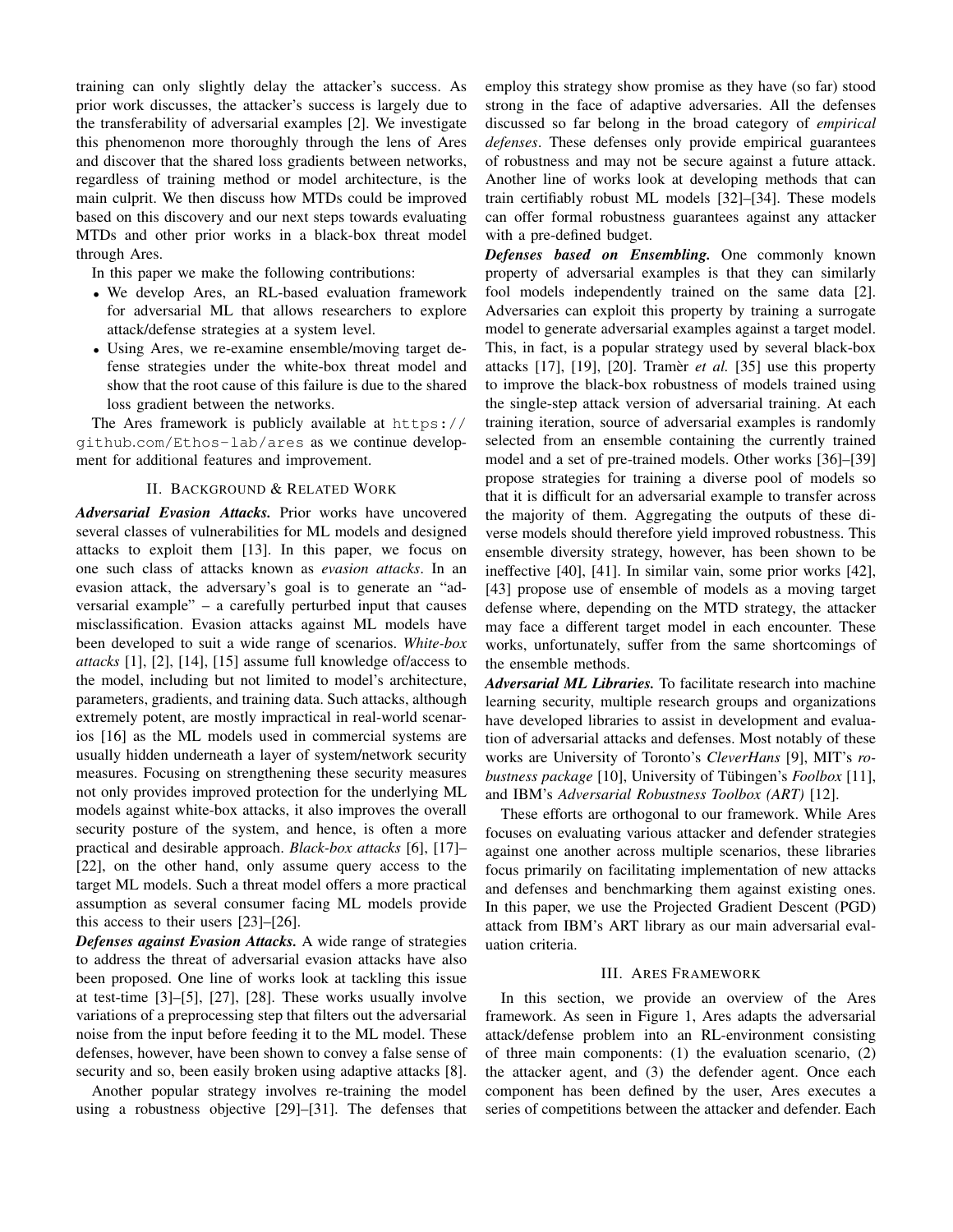training can only slightly delay the attacker's success. As prior work discusses, the attacker's success is largely due to the transferability of adversarial examples [2]. We investigate this phenomenon more thoroughly through the lens of Ares and discover that the shared loss gradients between networks, regardless of training method or model architecture, is the main culprit. We then discuss how MTDs could be improved based on this discovery and our next steps towards evaluating MTDs and other prior works in a black-box threat model through Ares.

In this paper we make the following contributions:

- We develop Ares, an RL-based evaluation framework for adversarial ML that allows researchers to explore attack/defense strategies at a system level.
- Using Ares, we re-examine ensemble/moving target defense strategies under the white-box threat model and show that the root cause of this failure is due to the shared loss gradient between the networks.

The Ares framework is publicly available at https:// github.com/Ethos-lab/ares as we continue development for additional features and improvement.

### II. BACKGROUND & RELATED WORK

*Adversarial Evasion Attacks.* Prior works have uncovered several classes of vulnerabilities for ML models and designed attacks to exploit them [13]. In this paper, we focus on one such class of attacks known as *evasion attacks*. In an evasion attack, the adversary's goal is to generate an "adversarial example" – a carefully perturbed input that causes misclassification. Evasion attacks against ML models have been developed to suit a wide range of scenarios. *White-box attacks* [1], [2], [14], [15] assume full knowledge of/access to the model, including but not limited to model's architecture, parameters, gradients, and training data. Such attacks, although extremely potent, are mostly impractical in real-world scenarios [16] as the ML models used in commercial systems are usually hidden underneath a layer of system/network security measures. Focusing on strengthening these security measures not only provides improved protection for the underlying ML models against white-box attacks, it also improves the overall security posture of the system, and hence, is often a more practical and desirable approach. *Black-box attacks* [6], [17]– [22], on the other hand, only assume query access to the target ML models. Such a threat model offers a more practical assumption as several consumer facing ML models provide this access to their users [23]–[26].

*Defenses against Evasion Attacks.* A wide range of strategies to address the threat of adversarial evasion attacks have also been proposed. One line of works look at tackling this issue at test-time [3]–[5], [27], [28]. These works usually involve variations of a preprocessing step that filters out the adversarial noise from the input before feeding it to the ML model. These defenses, however, have been shown to convey a false sense of security and so, been easily broken using adaptive attacks [8].

Another popular strategy involves re-training the model using a robustness objective [29]–[31]. The defenses that employ this strategy show promise as they have (so far) stood strong in the face of adaptive adversaries. All the defenses discussed so far belong in the broad category of *empirical defenses*. These defenses only provide empirical guarantees of robustness and may not be secure against a future attack. Another line of works look at developing methods that can train certifiably robust ML models [32]–[34]. These models can offer formal robustness guarantees against any attacker with a pre-defined budget.

*Defenses based on Ensembling.* One commonly known property of adversarial examples is that they can similarly fool models independently trained on the same data [2]. Adversaries can exploit this property by training a surrogate model to generate adversarial examples against a target model. This, in fact, is a popular strategy used by several black-box attacks [17], [19], [20]. Tramèr *et al.* [35] use this property to improve the black-box robustness of models trained using the single-step attack version of adversarial training. At each training iteration, source of adversarial examples is randomly selected from an ensemble containing the currently trained model and a set of pre-trained models. Other works [36]–[39] propose strategies for training a diverse pool of models so that it is difficult for an adversarial example to transfer across the majority of them. Aggregating the outputs of these diverse models should therefore yield improved robustness. This ensemble diversity strategy, however, has been shown to be ineffective [40], [41]. In similar vain, some prior works [42], [43] propose use of ensemble of models as a moving target defense where, depending on the MTD strategy, the attacker may face a different target model in each encounter. These works, unfortunately, suffer from the same shortcomings of the ensemble methods.

*Adversarial ML Libraries.* To facilitate research into machine learning security, multiple research groups and organizations have developed libraries to assist in development and evaluation of adversarial attacks and defenses. Most notably of these works are University of Toronto's *CleverHans* [9], MIT's *robustness package* [10], University of Tübingen's *Foolbox* [11], and IBM's *Adversarial Robustness Toolbox (ART)* [12].

These efforts are orthogonal to our framework. While Ares focuses on evaluating various attacker and defender strategies against one another across multiple scenarios, these libraries focus primarily on facilitating implementation of new attacks and defenses and benchmarking them against existing ones. In this paper, we use the Projected Gradient Descent (PGD) attack from IBM's ART library as our main adversarial evaluation criteria.

# III. ARES FRAMEWORK

In this section, we provide an overview of the Ares framework. As seen in Figure 1, Ares adapts the adversarial attack/defense problem into an RL-environment consisting of three main components: (1) the evaluation scenario, (2) the attacker agent, and (3) the defender agent. Once each component has been defined by the user, Ares executes a series of competitions between the attacker and defender. Each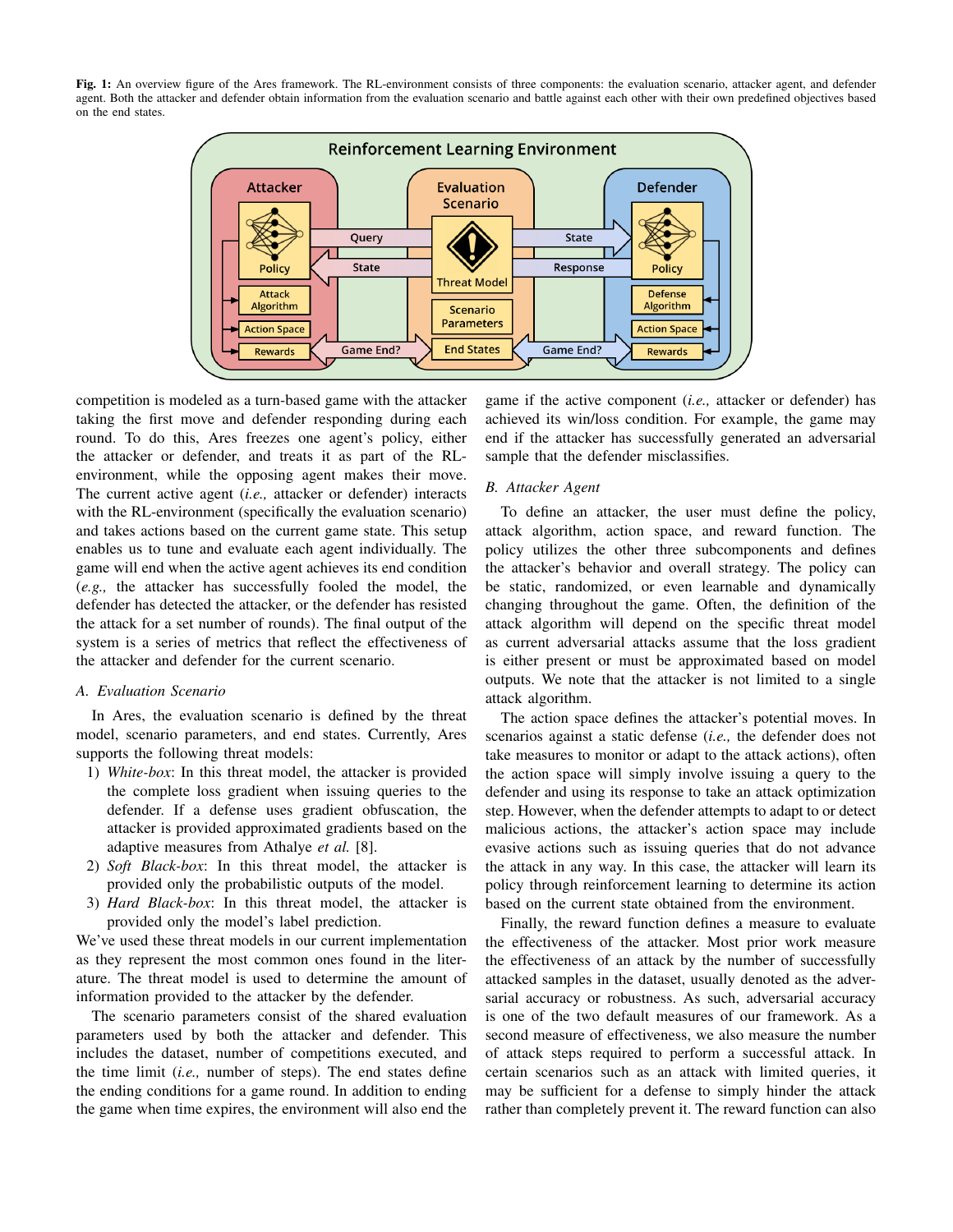Fig. 1: An overview figure of the Ares framework. The RL-environment consists of three components: the evaluation scenario, attacker agent, and defender agent. Both the attacker and defender obtain information from the evaluation scenario and battle against each other with their own predefined objectives based on the end states.



competition is modeled as a turn-based game with the attacker taking the first move and defender responding during each round. To do this, Ares freezes one agent's policy, either the attacker or defender, and treats it as part of the RLenvironment, while the opposing agent makes their move. The current active agent (*i.e.,* attacker or defender) interacts with the RL-environment (specifically the evaluation scenario) and takes actions based on the current game state. This setup enables us to tune and evaluate each agent individually. The game will end when the active agent achieves its end condition (*e.g.,* the attacker has successfully fooled the model, the defender has detected the attacker, or the defender has resisted the attack for a set number of rounds). The final output of the system is a series of metrics that reflect the effectiveness of the attacker and defender for the current scenario.

# *A. Evaluation Scenario*

In Ares, the evaluation scenario is defined by the threat model, scenario parameters, and end states. Currently, Ares supports the following threat models:

- 1) *White-box*: In this threat model, the attacker is provided the complete loss gradient when issuing queries to the defender. If a defense uses gradient obfuscation, the attacker is provided approximated gradients based on the adaptive measures from Athalye *et al.* [8].
- 2) *Soft Black-box*: In this threat model, the attacker is provided only the probabilistic outputs of the model.
- 3) *Hard Black-box*: In this threat model, the attacker is provided only the model's label prediction.

We've used these threat models in our current implementation as they represent the most common ones found in the literature. The threat model is used to determine the amount of information provided to the attacker by the defender.

The scenario parameters consist of the shared evaluation parameters used by both the attacker and defender. This includes the dataset, number of competitions executed, and the time limit (*i.e.,* number of steps). The end states define the ending conditions for a game round. In addition to ending the game when time expires, the environment will also end the

game if the active component (*i.e.,* attacker or defender) has achieved its win/loss condition. For example, the game may end if the attacker has successfully generated an adversarial sample that the defender misclassifies.

# *B. Attacker Agent*

To define an attacker, the user must define the policy, attack algorithm, action space, and reward function. The policy utilizes the other three subcomponents and defines the attacker's behavior and overall strategy. The policy can be static, randomized, or even learnable and dynamically changing throughout the game. Often, the definition of the attack algorithm will depend on the specific threat model as current adversarial attacks assume that the loss gradient is either present or must be approximated based on model outputs. We note that the attacker is not limited to a single attack algorithm.

The action space defines the attacker's potential moves. In scenarios against a static defense (*i.e.,* the defender does not take measures to monitor or adapt to the attack actions), often the action space will simply involve issuing a query to the defender and using its response to take an attack optimization step. However, when the defender attempts to adapt to or detect malicious actions, the attacker's action space may include evasive actions such as issuing queries that do not advance the attack in any way. In this case, the attacker will learn its policy through reinforcement learning to determine its action based on the current state obtained from the environment.

Finally, the reward function defines a measure to evaluate the effectiveness of the attacker. Most prior work measure the effectiveness of an attack by the number of successfully attacked samples in the dataset, usually denoted as the adversarial accuracy or robustness. As such, adversarial accuracy is one of the two default measures of our framework. As a second measure of effectiveness, we also measure the number of attack steps required to perform a successful attack. In certain scenarios such as an attack with limited queries, it may be sufficient for a defense to simply hinder the attack rather than completely prevent it. The reward function can also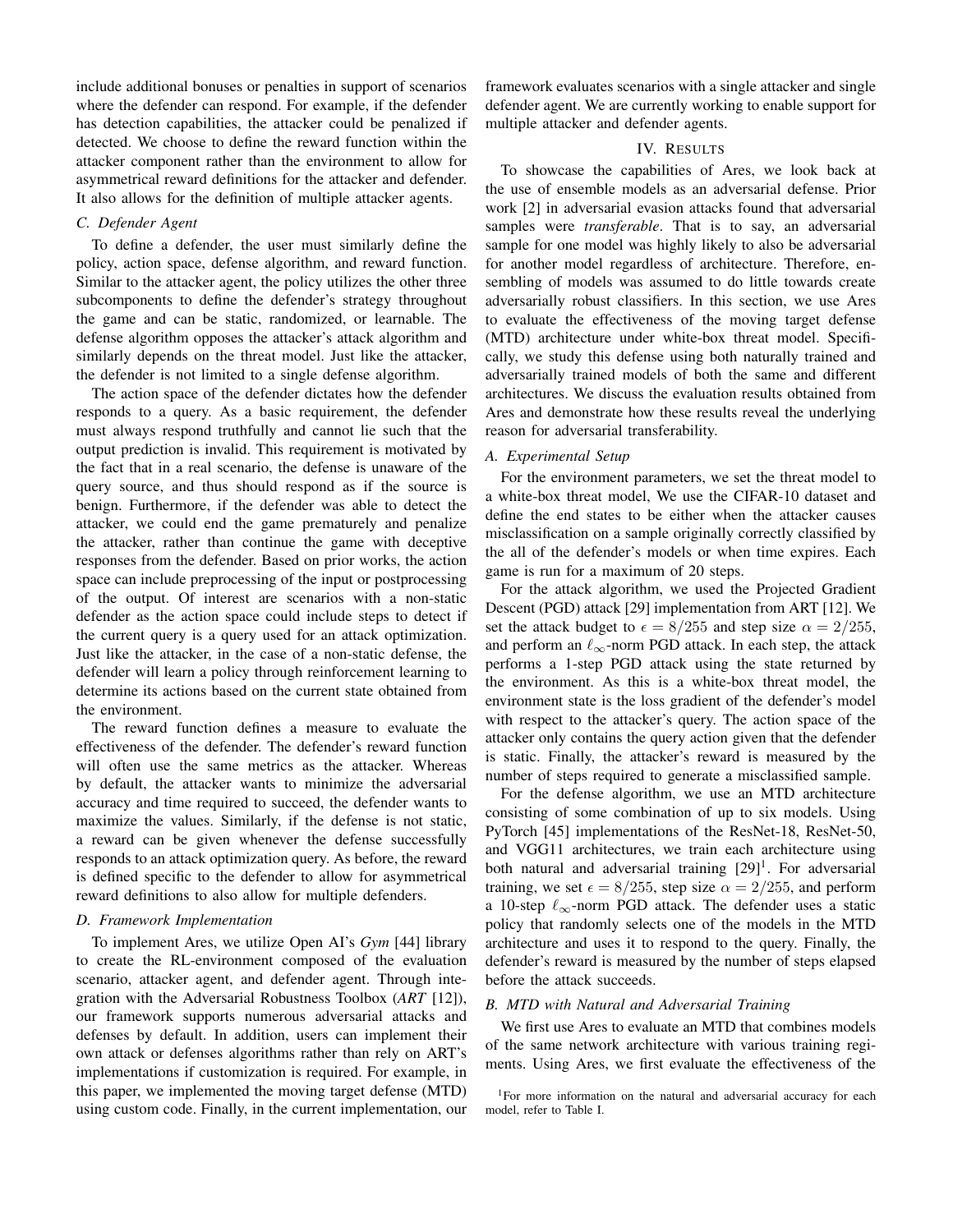include additional bonuses or penalties in support of scenarios where the defender can respond. For example, if the defender has detection capabilities, the attacker could be penalized if detected. We choose to define the reward function within the attacker component rather than the environment to allow for asymmetrical reward definitions for the attacker and defender. It also allows for the definition of multiple attacker agents.

# *C. Defender Agent*

To define a defender, the user must similarly define the policy, action space, defense algorithm, and reward function. Similar to the attacker agent, the policy utilizes the other three subcomponents to define the defender's strategy throughout the game and can be static, randomized, or learnable. The defense algorithm opposes the attacker's attack algorithm and similarly depends on the threat model. Just like the attacker, the defender is not limited to a single defense algorithm.

The action space of the defender dictates how the defender responds to a query. As a basic requirement, the defender must always respond truthfully and cannot lie such that the output prediction is invalid. This requirement is motivated by the fact that in a real scenario, the defense is unaware of the query source, and thus should respond as if the source is benign. Furthermore, if the defender was able to detect the attacker, we could end the game prematurely and penalize the attacker, rather than continue the game with deceptive responses from the defender. Based on prior works, the action space can include preprocessing of the input or postprocessing of the output. Of interest are scenarios with a non-static defender as the action space could include steps to detect if the current query is a query used for an attack optimization. Just like the attacker, in the case of a non-static defense, the defender will learn a policy through reinforcement learning to determine its actions based on the current state obtained from the environment.

The reward function defines a measure to evaluate the effectiveness of the defender. The defender's reward function will often use the same metrics as the attacker. Whereas by default, the attacker wants to minimize the adversarial accuracy and time required to succeed, the defender wants to maximize the values. Similarly, if the defense is not static, a reward can be given whenever the defense successfully responds to an attack optimization query. As before, the reward is defined specific to the defender to allow for asymmetrical reward definitions to also allow for multiple defenders.

#### *D. Framework Implementation*

To implement Ares, we utilize Open AI's *Gym* [44] library to create the RL-environment composed of the evaluation scenario, attacker agent, and defender agent. Through integration with the Adversarial Robustness Toolbox (*ART* [12]), our framework supports numerous adversarial attacks and defenses by default. In addition, users can implement their own attack or defenses algorithms rather than rely on ART's implementations if customization is required. For example, in this paper, we implemented the moving target defense (MTD) using custom code. Finally, in the current implementation, our framework evaluates scenarios with a single attacker and single defender agent. We are currently working to enable support for multiple attacker and defender agents.

# IV. RESULTS

To showcase the capabilities of Ares, we look back at the use of ensemble models as an adversarial defense. Prior work [2] in adversarial evasion attacks found that adversarial samples were *transferable*. That is to say, an adversarial sample for one model was highly likely to also be adversarial for another model regardless of architecture. Therefore, ensembling of models was assumed to do little towards create adversarially robust classifiers. In this section, we use Ares to evaluate the effectiveness of the moving target defense (MTD) architecture under white-box threat model. Specifically, we study this defense using both naturally trained and adversarially trained models of both the same and different architectures. We discuss the evaluation results obtained from Ares and demonstrate how these results reveal the underlying reason for adversarial transferability.

#### *A. Experimental Setup*

For the environment parameters, we set the threat model to a white-box threat model, We use the CIFAR-10 dataset and define the end states to be either when the attacker causes misclassification on a sample originally correctly classified by the all of the defender's models or when time expires. Each game is run for a maximum of 20 steps.

For the attack algorithm, we used the Projected Gradient Descent (PGD) attack [29] implementation from ART [12]. We set the attack budget to  $\epsilon = 8/255$  and step size  $\alpha = 2/255$ , and perform an  $\ell_{\infty}$ -norm PGD attack. In each step, the attack performs a 1-step PGD attack using the state returned by the environment. As this is a white-box threat model, the environment state is the loss gradient of the defender's model with respect to the attacker's query. The action space of the attacker only contains the query action given that the defender is static. Finally, the attacker's reward is measured by the number of steps required to generate a misclassified sample.

For the defense algorithm, we use an MTD architecture consisting of some combination of up to six models. Using PyTorch [45] implementations of the ResNet-18, ResNet-50, and VGG11 architectures, we train each architecture using both natural and adversarial training [29]<sup>1</sup>. For adversarial training, we set  $\epsilon = 8/255$ , step size  $\alpha = 2/255$ , and perform a 10-step  $\ell_{\infty}$ -norm PGD attack. The defender uses a static policy that randomly selects one of the models in the MTD architecture and uses it to respond to the query. Finally, the defender's reward is measured by the number of steps elapsed before the attack succeeds.

# *B. MTD with Natural and Adversarial Training*

We first use Ares to evaluate an MTD that combines models of the same network architecture with various training regiments. Using Ares, we first evaluate the effectiveness of the

<sup>&</sup>lt;sup>1</sup>For more information on the natural and adversarial accuracy for each model, refer to Table I.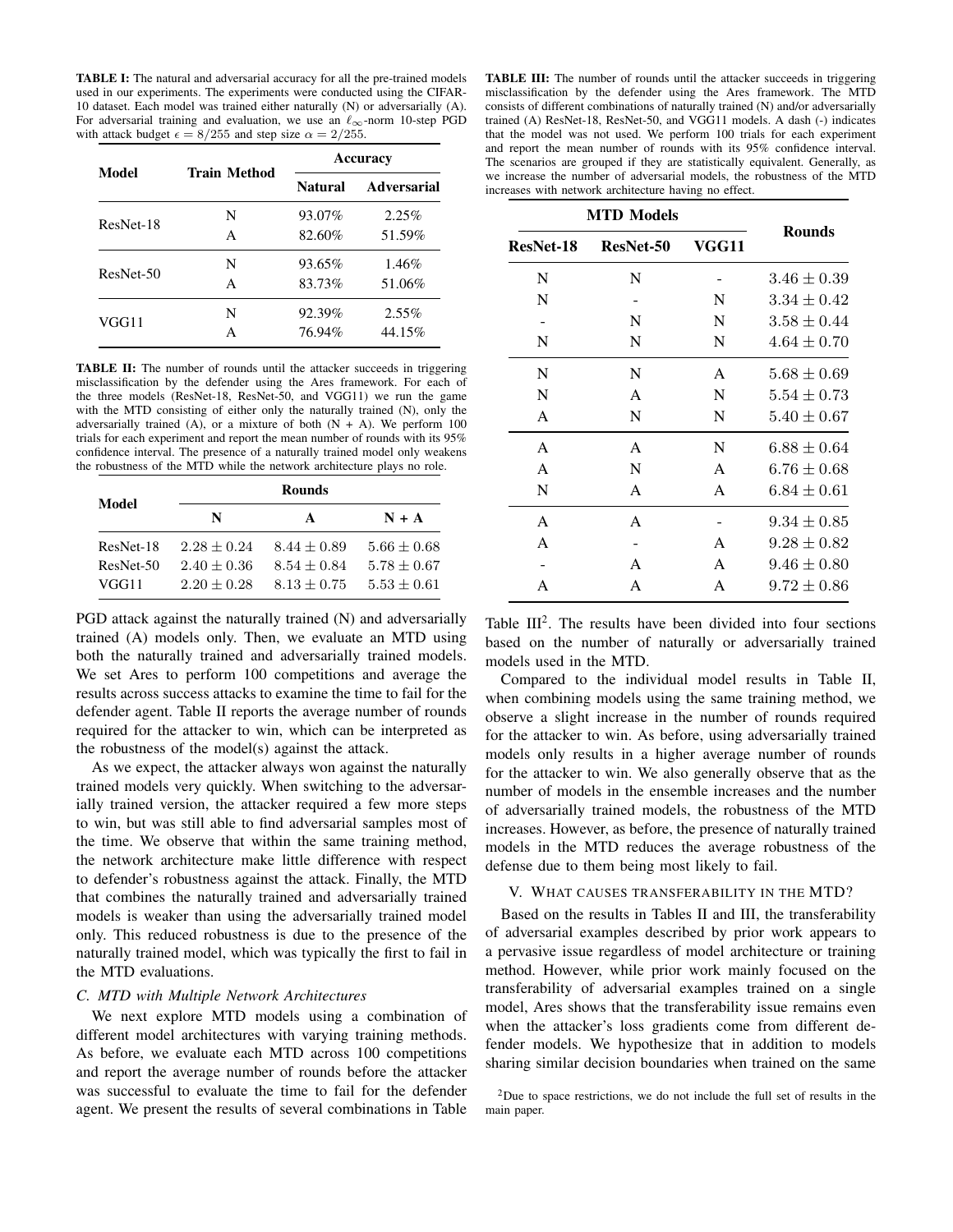TABLE I: The natural and adversarial accuracy for all the pre-trained models used in our experiments. The experiments were conducted using the CIFAR-10 dataset. Each model was trained either naturally (N) or adversarially (A). For adversarial training and evaluation, we use an  $\ell_{\infty}$ -norm 10-step PGD with attack budget  $\epsilon = 8/255$  and step size  $\alpha = 2/255$ .

| Model     | <b>Train Method</b> | <b>Accuracy</b> |                    |
|-----------|---------------------|-----------------|--------------------|
|           |                     | Natural         | <b>Adversarial</b> |
| ResNet-18 | N                   | 93.07%          | 2.25%              |
|           | A                   | 82.60%          | 51.59%             |
| ResNet-50 | N                   | 93.65%          | 1.46%              |
|           | A                   | 83.73%          | 51.06%             |
| VGG11     | N                   | 92.39%          | $2.55\%$           |
|           |                     | 76.94%          | 44.15%             |

TABLE II: The number of rounds until the attacker succeeds in triggering misclassification by the defender using the Ares framework. For each of the three models (ResNet-18, ResNet-50, and VGG11) we run the game with the MTD consisting of either only the naturally trained (N), only the adversarially trained (A), or a mixture of both  $(N + A)$ . We perform 100 trials for each experiment and report the mean number of rounds with its 95% confidence interval. The presence of a naturally trained model only weakens the robustness of the MTD while the network architecture plays no role.

| Model     | <b>Rounds</b> |               |               |  |
|-----------|---------------|---------------|---------------|--|
|           | N             | A             | $N + A$       |  |
| ResNet-18 | $2.28 + 0.24$ | $8.44 + 0.89$ | $5.66 + 0.68$ |  |
| ResNet-50 | $2.40 + 0.36$ | $8.54 + 0.84$ | $5.78 + 0.67$ |  |
| VGG11     | $2.20 + 0.28$ | $8.13 + 0.75$ | $5.53 + 0.61$ |  |

PGD attack against the naturally trained (N) and adversarially trained (A) models only. Then, we evaluate an MTD using both the naturally trained and adversarially trained models. We set Ares to perform 100 competitions and average the results across success attacks to examine the time to fail for the defender agent. Table II reports the average number of rounds required for the attacker to win, which can be interpreted as the robustness of the model(s) against the attack.

As we expect, the attacker always won against the naturally trained models very quickly. When switching to the adversarially trained version, the attacker required a few more steps to win, but was still able to find adversarial samples most of the time. We observe that within the same training method, the network architecture make little difference with respect to defender's robustness against the attack. Finally, the MTD that combines the naturally trained and adversarially trained models is weaker than using the adversarially trained model only. This reduced robustness is due to the presence of the naturally trained model, which was typically the first to fail in the MTD evaluations.

#### *C. MTD with Multiple Network Architectures*

We next explore MTD models using a combination of different model architectures with varying training methods. As before, we evaluate each MTD across 100 competitions and report the average number of rounds before the attacker was successful to evaluate the time to fail for the defender agent. We present the results of several combinations in Table

TABLE III: The number of rounds until the attacker succeeds in triggering misclassification by the defender using the Ares framework. The MTD consists of different combinations of naturally trained (N) and/or adversarially trained (A) ResNet-18, ResNet-50, and VGG11 models. A dash (-) indicates that the model was not used. We perform 100 trials for each experiment and report the mean number of rounds with its 95% confidence interval. The scenarios are grouped if they are statistically equivalent. Generally, as we increase the number of adversarial models, the robustness of the MTD increases with network architecture having no effect.

| <b>MTD</b> Models |                  |       |                 |
|-------------------|------------------|-------|-----------------|
| ResNet-18         | <b>ResNet-50</b> | VGG11 | <b>Rounds</b>   |
| N                 | N                |       | $3.46 \pm 0.39$ |
| N                 |                  | N     | $3.34 \pm 0.42$ |
|                   | N                | N     | $3.58 \pm 0.44$ |
| N                 | N                | N     | $4.64 + 0.70$   |
| N                 | N                | A     | $5.68 \pm 0.69$ |
| N                 | A                | N     | $5.54 \pm 0.73$ |
| A                 | N                | N     | $5.40 \pm 0.67$ |
| A                 | A                | N     | $6.88 \pm 0.64$ |
| $\mathsf{A}$      | N                | A     | $6.76 \pm 0.68$ |
| N                 | A                | A     | $6.84\pm0.61$   |
| A                 | A                |       | $9.34 \pm 0.85$ |
| A                 |                  | A     | $9.28 \pm 0.82$ |
|                   | A                | A     | $9.46 \pm 0.80$ |
| A                 | A                | A     | $9.72 + 0.86$   |

Table  $III^2$ . The results have been divided into four sections based on the number of naturally or adversarially trained models used in the MTD.

Compared to the individual model results in Table II, when combining models using the same training method, we observe a slight increase in the number of rounds required for the attacker to win. As before, using adversarially trained models only results in a higher average number of rounds for the attacker to win. We also generally observe that as the number of models in the ensemble increases and the number of adversarially trained models, the robustness of the MTD increases. However, as before, the presence of naturally trained models in the MTD reduces the average robustness of the defense due to them being most likely to fail.

#### V. WHAT CAUSES TRANSFERABILITY IN THE MTD?

Based on the results in Tables II and III, the transferability of adversarial examples described by prior work appears to a pervasive issue regardless of model architecture or training method. However, while prior work mainly focused on the transferability of adversarial examples trained on a single model, Ares shows that the transferability issue remains even when the attacker's loss gradients come from different defender models. We hypothesize that in addition to models sharing similar decision boundaries when trained on the same

 $2$ Due to space restrictions, we do not include the full set of results in the main paper.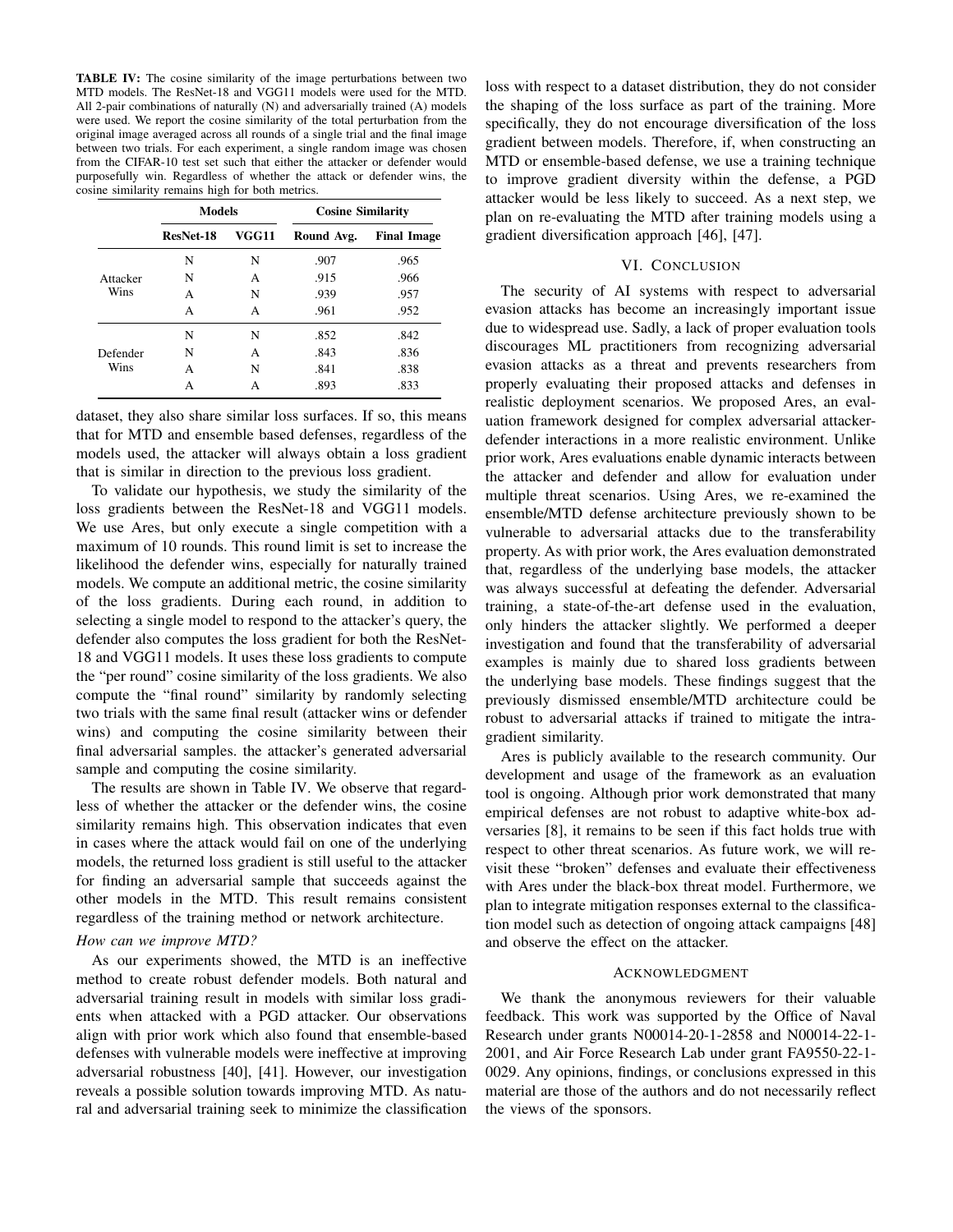TABLE IV: The cosine similarity of the image perturbations between two MTD models. The ResNet-18 and VGG11 models were used for the MTD. All 2-pair combinations of naturally (N) and adversarially trained (A) models were used. We report the cosine similarity of the total perturbation from the original image averaged across all rounds of a single trial and the final image between two trials. For each experiment, a single random image was chosen from the CIFAR-10 test set such that either the attacker or defender would purposefully win. Regardless of whether the attack or defender wins, the cosine similarity remains high for both metrics.

|                  | <b>Models</b> |       | <b>Cosine Similarity</b> |                    |
|------------------|---------------|-------|--------------------------|--------------------|
|                  | ResNet-18     | VGG11 | Round Avg.               | <b>Final Image</b> |
| Attacker<br>Wins | N             | N     | .907                     | .965               |
|                  | N             | A     | .915                     | .966               |
|                  | A             | N     | .939                     | .957               |
|                  | A             | A     | .961                     | .952               |
| Defender<br>Wins | N             | N     | .852                     | .842               |
|                  | N             | A     | .843                     | .836               |
|                  | A             | N     | .841                     | .838               |
|                  | А             | А     | .893                     | .833               |

dataset, they also share similar loss surfaces. If so, this means that for MTD and ensemble based defenses, regardless of the models used, the attacker will always obtain a loss gradient that is similar in direction to the previous loss gradient.

To validate our hypothesis, we study the similarity of the loss gradients between the ResNet-18 and VGG11 models. We use Ares, but only execute a single competition with a maximum of 10 rounds. This round limit is set to increase the likelihood the defender wins, especially for naturally trained models. We compute an additional metric, the cosine similarity of the loss gradients. During each round, in addition to selecting a single model to respond to the attacker's query, the defender also computes the loss gradient for both the ResNet-18 and VGG11 models. It uses these loss gradients to compute the "per round" cosine similarity of the loss gradients. We also compute the "final round" similarity by randomly selecting two trials with the same final result (attacker wins or defender wins) and computing the cosine similarity between their final adversarial samples. the attacker's generated adversarial sample and computing the cosine similarity.

The results are shown in Table IV. We observe that regardless of whether the attacker or the defender wins, the cosine similarity remains high. This observation indicates that even in cases where the attack would fail on one of the underlying models, the returned loss gradient is still useful to the attacker for finding an adversarial sample that succeeds against the other models in the MTD. This result remains consistent regardless of the training method or network architecture.

# *How can we improve MTD?*

As our experiments showed, the MTD is an ineffective method to create robust defender models. Both natural and adversarial training result in models with similar loss gradients when attacked with a PGD attacker. Our observations align with prior work which also found that ensemble-based defenses with vulnerable models were ineffective at improving adversarial robustness [40], [41]. However, our investigation reveals a possible solution towards improving MTD. As natural and adversarial training seek to minimize the classification loss with respect to a dataset distribution, they do not consider the shaping of the loss surface as part of the training. More specifically, they do not encourage diversification of the loss gradient between models. Therefore, if, when constructing an MTD or ensemble-based defense, we use a training technique to improve gradient diversity within the defense, a PGD attacker would be less likely to succeed. As a next step, we plan on re-evaluating the MTD after training models using a gradient diversification approach [46], [47].

#### VI. CONCLUSION

The security of AI systems with respect to adversarial evasion attacks has become an increasingly important issue due to widespread use. Sadly, a lack of proper evaluation tools discourages ML practitioners from recognizing adversarial evasion attacks as a threat and prevents researchers from properly evaluating their proposed attacks and defenses in realistic deployment scenarios. We proposed Ares, an evaluation framework designed for complex adversarial attackerdefender interactions in a more realistic environment. Unlike prior work, Ares evaluations enable dynamic interacts between the attacker and defender and allow for evaluation under multiple threat scenarios. Using Ares, we re-examined the ensemble/MTD defense architecture previously shown to be vulnerable to adversarial attacks due to the transferability property. As with prior work, the Ares evaluation demonstrated that, regardless of the underlying base models, the attacker was always successful at defeating the defender. Adversarial training, a state-of-the-art defense used in the evaluation, only hinders the attacker slightly. We performed a deeper investigation and found that the transferability of adversarial examples is mainly due to shared loss gradients between the underlying base models. These findings suggest that the previously dismissed ensemble/MTD architecture could be robust to adversarial attacks if trained to mitigate the intragradient similarity.

Ares is publicly available to the research community. Our development and usage of the framework as an evaluation tool is ongoing. Although prior work demonstrated that many empirical defenses are not robust to adaptive white-box adversaries [8], it remains to be seen if this fact holds true with respect to other threat scenarios. As future work, we will revisit these "broken" defenses and evaluate their effectiveness with Ares under the black-box threat model. Furthermore, we plan to integrate mitigation responses external to the classification model such as detection of ongoing attack campaigns [48] and observe the effect on the attacker.

#### ACKNOWLEDGMENT

We thank the anonymous reviewers for their valuable feedback. This work was supported by the Office of Naval Research under grants N00014-20-1-2858 and N00014-22-1- 2001, and Air Force Research Lab under grant FA9550-22-1- 0029. Any opinions, findings, or conclusions expressed in this material are those of the authors and do not necessarily reflect the views of the sponsors.